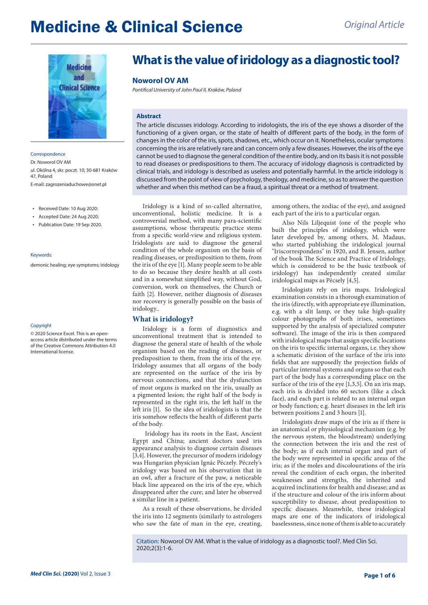# **Medicine & Clinical Science** *Original Article*



**Correspondence** Dr. Noworol OV AM ul. Okólna 4, skr. poczt. 10; 30-681 Kraków 47, Poland E-mail: zagrozeniaduchowe@onet.pl

- • Received Date: 10 Aug 2020;
- • Accepted Date: 24 Aug 2020;
- • Publication Date: 19 Sep 2020.

#### Keywords:

demonic healing; eye symptoms; iridology

#### Copyright

© 2020 Science Excel. This is an openaccess article distributed under the terms of the Creative Commons Attribution 4.0 International license.

# **What is the value of iridology as a diagnostic tool?**

#### **Noworol OV AM**

*Pontifical University of John Paul II, Kraków, Poland*

### **Abstract**

The article discusses iridology. According to iridologists, the iris of the eye shows a disorder of the functioning of a given organ, or the state of health of different parts of the body, in the form of changes in the color of the iris, spots, shadows, etc., which occur on it. Nonetheless, ocular symptoms concerning the iris are relatively rare and can concern only a few diseases. However, the iris of the eye cannot be used to diagnose the general condition of the entire body, and on its basis it is not possible to read diseases or predispositions to them. The accuracy of iridology diagnosis is contradicted by clinical trials, and iridology is described as useless and potentially harmful. In the article iridology is discussed from the point of view of psychology, theology, and medicine, so as to answer the question whether and when this method can be a fraud, a spiritual threat or a method of treatment.

Iridology is a kind of so-called alternative, unconventional, holistic medicine. It is a controversial method, with many para-scientific assumptions, whose therapeutic practice stems from a specific world-view and religious system. Iridologists are said to diagnose the general condition of the whole organism on the basis of reading diseases, or predisposition to them, from the iris of the eye [1]. Many people seem to be able to do so because they desire health at all costs and in a somewhat simplified way, without God, conversion, work on themselves, the Church or faith [2]. However, neither diagnosis of diseases nor recovery is generally possible on the basis of iridology..

## **What is iridology?**

Iridology is a form of diagnostics and unconventional treatment that is intended to diagnose the general state of health of the whole organism based on the reading of diseases, or predisposition to them, from the iris of the eye. Iridology assumes that all organs of the body are represented on the surface of the iris by nervous connections, and that the dysfunction of most organs is marked on the iris, usually as a pigmented lesion; the right half of the body is represented in the right iris, the left half in the left iris [1]. So the idea of iridologists is that the iris somehow reflects the health of different parts of the body.

 Iridology has its roots in the East, Ancient Egypt and China; ancient doctors used iris appearance analysis to diagnose certain diseases [3,4]. However, the precursor of modern iridology was Hungarian physician Ignác Péczely. Péczely's iridology was based on his observation that in an owl, after a fracture of the paw, a noticeable black line appeared on the iris of the eye, which disappeared after the cure; and later he observed a similar line in a patient.

As a result of these observations, he divided the iris into 12 segments (similarly to astrologers who saw the fate of man in the eye, creating,

among others, the zodiac of the eye), and assigned each part of the iris to a particular organ.

Also Nils Liljequist (one of the people who built the principles of iridology, which were later developed by, among others, M. Madaus, who started publishing the iridological journal "Iriscorrespondens" in 1920, and B. Jensen, author of the book The Science and Practice of Iridology, which is considered to be the basic textbook of iridology) has independently created similar iridological maps as Pécsely [4,5].

Iridologists rely on iris maps. Iridological examination consists in a thorough examination of the iris (directly, with appropriate eye illumination, e.g. with a slit lamp, or they take high-quality colour photographs of both irises, sometimes supported by the analysis of specialized computer software). The image of the iris is then compared with iridological maps that assign specific locations on the iris to specific internal organs, i.e. they show a schematic division of the surface of the iris into fields that are supposedly the projection fields of particular internal systems and organs so that each part of the body has a corresponding place on the surface of the iris of the eye [1,3,5]. On an iris map, each iris is divided into 60 sectors (like a clock face), and each part is related to an internal organ or body function; e.g. heart diseases in the left iris between positions 2 and 3 hours [1].

Iridologists draw maps of the iris as if there is an anatomical or physiological mechanism (e.g. by the nervous system, the bloodstream) underlying the connection between the iris and the rest of the body; as if each internal organ and part of the body were represented in specific areas of the iris; as if the moles and discolourations of the iris reveal the condition of each organ, the inherited weaknesses and strengths, the inherited and acquired inclinations for health and disease; and as if the structure and colour of the iris inform about susceptibility to disease, about predisposition to specific diseases. Meanwhile, these iridological maps are one of the indicators of iridological baselessness, since none of them is able to accurately

Citation: Noworol OV AM. What is the value of iridology as a diagnostic tool?. Med Clin Sci. 2020;2(3):1-6.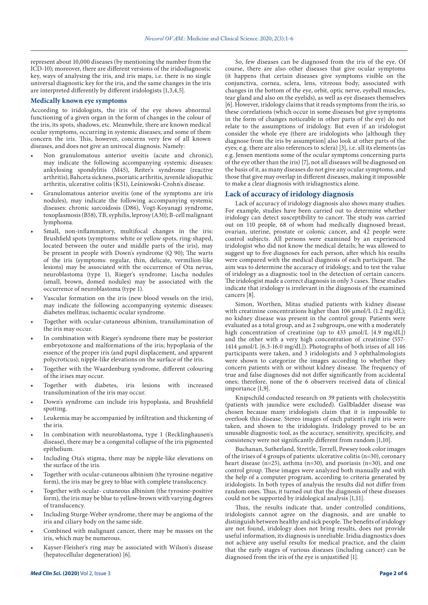represent about 10,000 diseases (by mentioning the number from the ICD-10); moreover, there are different versions of the iridodiagnostic key, ways of analysing the iris, and iris maps, i.e. there is no single universal diagnostic key for the iris, and the same changes in the iris are interpreted differently by different iridologists [1,3,4,5].

#### **Medically known eye symptoms**

According to iridologists, the iris of the eye shows abnormal functioning of a given organ in the form of changes in the colour of the iris, its spots, shadows, etc. Meanwhile, there are known medical ocular symptoms, occurring in systemic diseases; and some of them concern the iris. This, however, concerns very few of all known diseases, and does not give an univocal diagnosis. Namely:

- Non granulomatous anterior uveitis (acute and chronic), may indicate the following accompanying systemic diseases: ankylosing spondylitis (M45), Reiter's syndrome (reactive arthritis), Bahceta sickness, psoriatic arthritis, juvenile idiopathic arthritis, ulcerative colitis (K51), Leśniowski-Crohn's disease.
- Granulomatous anterior uveitis (one of the symptoms are iris nodules), may indicate the following accompanying systemic diseases: chronic sarcoidosis (D86), Vogt-Koyanagi syndrome, toxoplasmosis (B58), TB, syphilis, leprosy (A30); B-cell malignant lymphoma.
- Small, non-inflammatory, multifocal changes in the iris: Brushfield spots (symptoms: white or yellow spots, ring-shaped, located between the outer and middle parts of the iris), may be present in people with Down's syndrome (Q 90); The warts of the iris (symptoms: regular, thin, delicate, vermilion-like lesions) may be associated with the occurrence of Ota nevus, neuroblastoma (type 1), Rieger's syndrome; Lischa nodules (small, brown, domed nodules) may be associated with the occurrence of neuroblastoma (type 1).
- Vascular formation on the iris (new blood vessels on the iris), may indicate the following accompanying systemic diseases: diabetes mellitus; ischaemic ocular syndrome.
- Together with ocular-cutaneous albinism, transilumination of the iris may occur.
- In combination with Rieger's syndrome there may be posterior embryotoxone and malformations of the iris; hypoplasia of the essence of the proper iris (and pupil displacement, and apparent polycroticus); nipple-like elevations on the surface of the iris.
- Together with the Waardenburg syndrome, different colouring of the irises may occur.
- Together with diabetes, iris lesions with increased transilumination of the iris may occur.
- Down's syndrome can include iris hypoplasia, and Brushfield spotting.
- Leukemia may be accompanied by infiltration and thickening of the iris.
- In combination with neuroblastoma, type 1 (Recklinghausen's disease), there may be a congenital collapse of the iris pigmented epithelium.
- Including Ota's stigma, there may be nipple-like elevations on the surface of the iris.
- Together with ocular-cutaneous albinism (the tyrosine-negative form), the iris may be grey to blue with complete translucency.
- Together with ocular- cutaneous albinism (the tyrosine-positive form), the iris may be blue to yellow-brown with varying degrees of translucency.
- Including Sturge-Weber syndrome, there may be angioma of the iris and ciliary body on the same side.
- Combined with malignant cancer, there may be masses on the iris, which may be numerous.
- Kayser-Fleisher's ring may be associated with Wilson's disease (hepatocellular degeneration) [6].

So, few diseases can be diagnosed from the iris of the eye. Of course, there are also other diseases that give ocular symptoms (it happens that certain diseases give symptoms visible on the conjunctiva, cornea, sclera, lens, vitreous body, associated with changes in the bottom of the eye, orbit, optic nerve, eyeball muscles, tear gland and also on the eyelids), as well as eye diseases themselves [6]. However, iridology claims that it reads symptoms from the iris, so these correlations (which occur in some diseases but give symptoms in the form of changes noticeable in other parts of the eye) do not relate to the assumptions of iridology. But even if an iridologist consider the whole eye (there are iridologists who [although they diagnose from the iris by assumption] also look at other parts of the eyes; e.g. there are also references to sclera) [3], i.e. all its elements (as e.g. Jensen mentions some of the ocular symptoms concerning parts of the eye other than the iris) [7], not all diseases will be diagnosed on the basis of it, as many diseases do not give any ocular symptoms, and those that give may overlap in different diseases, making it impossible to make a clear diagnosis with iridiagnostics alone.

#### **Lack of accuracy of iridology diagnosis**

Lack of accuracy of iridology diagnosis also shows many studies. For example, studies have been carried out to determine whether iridology can detect susceptibility to cancer. The study was carried out on 110 people, 68 of whom had medically diagnosed breast, ovarian, uterine, prostate or colonic cancer, and 42 people were control subjects. All persons were examined by an experienced iridologist who did not know the medical details; he was allowed to suggest up to five diagnoses for each person, after which his results were compared with the medical diagnosis of each participant. The aim was to determine the accuracy of iridology, and to test the value of iridology as a diagnostic tool in the detection of certain cancers. The iridologist made a correct diagnosis in only 3 cases. These studies indicate that iridology is irrelevant in the diagnosis of the examined cancers [8].

Simon, Worthen, Mitas studied patients with kidney disease with creatinine concentrations higher than 106 µmol/L (1.2 mg/dL); no kidney disease was present in the control group. Patients were evaluated as a total group, and as 2 subgroups, one with a moderately high concentration of creatinine (up to 433 µmol/L [4.9 mg/dL]) and the other with a very high concentration of creatinine (557- 1414 µmol/L [6.3-16.0 mg/dL]). Photographs of both irises of all 146 participants were taken, and 3 iridologists and 3 ophthalmologists were shown to categorize the images according to whether they concern patients with or without kidney disease. The frequency of true and false diagnoses did not differ significantly from accidental ones; therefore, none of the 6 observers received data of clinical importance [1,9].

Knipschild conducted research on 39 patients with cholecystitis (patients with jaundice were excluded). Gallbladder disease was chosen because many iridologists claim that it is impossible to overlook this disease. Stereo images of each patient's right iris were taken, and shown to the iridologists. Iridology proved to be an unusable diagnostic tool, as the accuracy, sensitivity, specificity, and consistency were not significantly different from random [1,10].

Buchanan, Sutherland, Strettle, Terrell, Pewsey took color images of the irises of 4 groups of patients: ulcerative colitis (n=30), coronary heart disease (n=25), asthma (n=30), and psoriasis (n=30), and one control group. These images were analyzed both manually and with the help of a computer program, according to criteria generated by iridologists. In both types of analysis the results did not differ from random ones. Thus, it turned out that the diagnosis of these diseases could not be supported by iridological analysis [1,11].

Thus, the results indicate that, under controlled conditions, iridologists cannot agree on the diagnosis, and are unable to distinguish between healthy and sick people. The benefits of iridology are not found, iridology does not bring results, does not provide useful information, its diagnosis is unreliable. Iridia diagnostics does not achieve any useful results for medical practice, and the claim that the early stages of various diseases (including cancer) can be diagnosed from the iris of the eye is unjustified [1].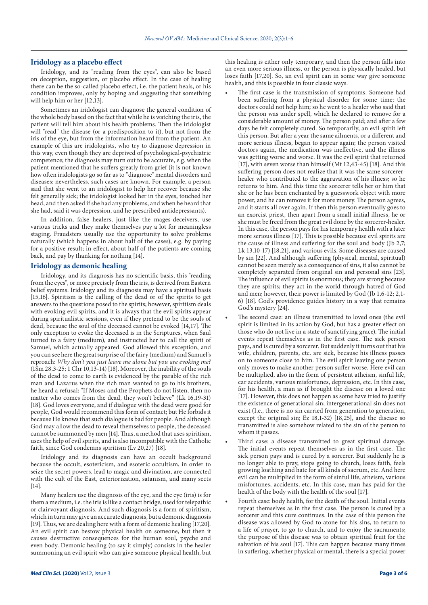#### **Iridology as a placebo effect**

Iridology, and its "reading from the eyes", can also be based on deception, suggestion, or placebo effect. In the case of healing there can be the so-called placebo effect, i.e. the patient heals, or his condition improves, only by hoping and suggesting that something will help him or her [12,13].

Sometimes an iridologist can diagnose the general condition of the whole body based on the fact that while he is watching the iris, the patient will tell him about his health problems. Then the iridologist will "read" the disease (or a predisposition to it), but not from the iris of the eye, but from the information heard from the patient. An example of this are iridologists, who try to diagnose depression in this way, even though they are deprived of psychological-psychiatric competence; the diagnosis may turn out to be accurate, e.g. when the patient mentioned that he suffers greatly from grief (it is not known how often iridologists go so far as to "diagnose" mental disorders and diseases; nevertheless, such cases are known. For example, a person said that she went to an iridologist to help her recover because she felt generally sick; the iridologist looked her in the eyes, touched her head, and then asked if she had any problems, and when he heard that she had, said it was depression, and he prescribed antidepressants).

In addition, false healers, just like the mages-deceivers, use various tricks and they make themselves pay a lot for meaningless staging. Fraudsters usually use the opportunity to solve problems naturally (which happens in about half of the cases), e.g. by paying for a positive result; in effect, about half of the patients are coming back, and pay by thanking for nothing [14].

#### **Iridology as demonic healing**

Iridology, and its diagnosis has no scientific basis, this "reading from the eyes", or more precisely from the iris, is derived from Eastern belief systems. Iridology and its diagnosis may have a spiritual basis [15,16]. Spiritism is the calling of the dead or of the spirits to get answers to the questions posed to the spirits; however, spiritism deals with evoking evil spirits, and it is always that the evil spirits appear during spiritualistic sessions, even if they pretend to be the souls of dead, because the soul of the deceased cannot be evoked [14,17]. The only exception to evoke the deceased is in the Scriptures, when Saul turned to a fairy (medium), and instructed her to call the spirit of Samuel, which actually appeared. God allowed this exception, and you can see here the great surprise of the fairy (medium) and Samuel's reproach: *Why don't you just leave me alone but you are evoking me?* (1Sm 28,3-25; 1 Chr 10,13-14) [18]. Moreover, the inability of the souls of the dead to come to earth is evidenced by the parable of the rich man and Lazarus when the rich man wanted to go to his brothers, he heard a refusal: "If Moses and the Prophets do not listen, then no matter who comes from the dead, they won't believe" (Lk 16,19-31) [18]. God loves everyone, and if dialogue with the dead were good for people, God would recommend this form of contact; but He forbids it because He knows that such dialogue is bad for people. And although God may allow the dead to reveal themselves to people, the deceased cannot be summoned by men [14]. Thus, a method that uses spiritism, uses the help of evil spirits, and is also incompatible with the Catholic faith, since God condemns spiritism (Lv 20,27) [18].

Iridology and its diagnosis can have an occult background because the occult, esotericism, and esoteric occultism, in order to seize the secret powers, lead to magic and divination, are connected with the cult of the East, exteriorization, satanism, and many sects [14].

Many healers use the diagnosis of the eye, and the eye (iris) is for them a medium, i.e. the iris is like a contact bridge, used for telepathic or clairvoyant diagnosis. And such diagnosis is a form of spiritism, which in turn may give an accurate diagnosis, but a demonic diagnosis [19]. Thus, we are dealing here with a form of demonic healing [17,20]. An evil spirit can bestow physical health on someone, but then it causes destructive consequences for the human soul, psyche and even body. Demonic healing (to say it simply) consists in the healer summoning an evil spirit who can give someone physical health, but

this healing is either only temporary, and then the person falls into an even more serious illness, or the person is physically healed, but loses faith [17,20]. So, an evil spirit can in some way give someone health, and this is possible in four classic ways.

- The first case is the transmission of symptoms. Someone had been suffering from a physical disorder for some time; the doctors could not help him; so he went to a healer who said that the person was under spell, which he declared to remove for a considerable amount of money. The person paid; and after a few days he felt completely cured. So temporarily, an evil spirit left this person. But after a year the same ailments, or a different and more serious illness, began to appear again; the person visited doctors again, the medication was ineffective, and the illness was getting worse and worse. It was the evil spirit that returned [17], with seven worse than himself (Mt 12,43-45) [18]. And this suffering person does not realize that it was the same sorcererhealer who contributed to the aggravation of his illness; so he returns to him. And this time the sorcerer tells her or him that she or he has been enchanted by a guesswork object with more power, and he can remove it for more money. The person agrees, and it starts all over again. If then this person eventually goes to an exorcist priest, then apart from a small initial illness, he or she must be freed from the great evil done by the sorcerer-healer. In this case, the person pays for his temporary health with a later more serious illness [17]. This is possible because evil spirits are the cause of illness and suffering for the soul and body (Jb 2,7; Lk 13,10-17) [18,21], and various evils. Some diseases are caused by sin [22]. And although suffering (physical, mental, spiritual) cannot be seen merely as a consequence of sins, it also cannot be completely separated from original sin and personal sins [23]. The influence of evil spirits is enormous; they are strong because they are spirits; they act in the world through hatred of God and men; however, their power is limited by God (Jb 1,6-12; 2,1- 6) [18]. God's providence guides history in a way that remains God's mystery [24].
- The second case: an illness transmitted to loved ones (the evil spirit is limited in its action by God, but has a greater effect on those who do not live in a state of sanctifying grace). The initial events repeat themselves as in the first case. The sick person pays, and is cured by a sorcerer. But suddenly it turns out that his wife, children, parents, etc. are sick, because his illness passes on to someone close to him. The evil spirit leaving one person only moves to make another person suffer worse. Here evil can be multiplied, also in the form of persistent atheism, sinful life, car accidents, various misfortunes, depression, etc. In this case, for his health, a man as if brought the disease on a loved one [17]. However, this does not happen as some have tried to justify the existence of generational sin; intergenerational sin does not exist (I.e., there is no sin carried from generation to generation, except the original sin; Ez 18,1-32) [18,25], and the disease so transmitted is also somehow related to the sin of the person to whom it passes.
- Third case: a disease transmitted to great spiritual damage. The initial events repeat themselves as in the first case. The sick person pays and is cured by a sorcerer. But suddenly he is no longer able to pray, stops going to church, loses faith, feels growing loathing and hate for all kinds of sacrum, etc. And here evil can be multiplied in the form of sinful life, atheism, various misfortunes, accidents, etc. In this case, man has paid for the health of the body with the health of the soul [17].
- Fourth case: body health, for the death of the soul. Initial events repeat themselves as in the first case. The person is cured by a sorcerer and this cure continues. In the case of this person the disease was allowed by God to atone for his sins, to return to a life of prayer, to go to church, and to enjoy the sacraments; the purpose of this disease was to obtain spiritual fruit for the salvation of his soul [17]. This can happen because many times in suffering, whether physical or mental, there is a special power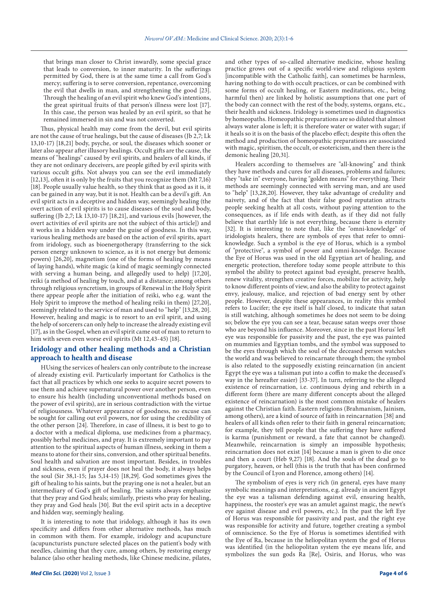that brings man closer to Christ inwardly, some special grace that leads to conversion, to inner maturity. In the sufferings permitted by God, there is at the same time a call from God's mercy; suffering is to serve conversion, repentance, overcoming the evil that dwells in man, and strengthening the good [23]. Through the healing of an evil spirit who knew God's intentions, the great spiritual fruits of that person's illness were lost [17]. In this case, the person was healed by an evil spirit, so that he remained immersed in sin and was not converted.

Thus, physical health may come from the devil, but evil spirits are not the cause of true healings, but the cause of diseases (Jb 2,7; Lk 13,10-17) [18,21] body, psyche, or soul, the diseases which sooner or later also appear after illusory healings. Occult gifts are the cause, the means of "healings" caused by evil spirits, and healers of all kinds, if they are not ordinary deceivers, are people gifted by evil spirits with various occult gifts. Not always you can see the evil immediately [12,13], often it is only by the fruits that you recognize them (Mt 7,16) [18]. People usually value health, so they think that as good as it is, it can be gained in any way, but it is not. Health can be a devil's gift. An evil spirit acts in a deceptive and hidden way, seemingly healing (the overt action of evil spirits is to cause diseases of the soul and body, suffering (Jb 2,7; Lk 13,10-17) [18,21], and various evils [however, the overt activities of evil spirits are not the subject of this article]) and it works in a hidden way under the guise of goodness. In this way, various healing methods are based on the action of evil spirits, apart from iridology, such as bioenergotherapy (transferring to the sick person energy unknown to science, as it is not energy but demonic powers) [26,20], magnetism (one of the forms of healing by means of laying hands), white magic (a kind of magic seemingly connected with serving a human being, and allegedly used to help) [17,20], reiki (a method of healing by touch, and at a distance; among others through religious syncretism, in groups of Renewal in the Holy Spirit there appear people after the initiation of reiki, who e.g. want the Holy Spirit to improve the method of healing reiki in them) [27,20], seemingly related to the service of man and used to ''help'' [13,28, 20]. However, healing and magic is to resort to an evil spirit, and using the help of sorcerers can only help to increase the already existing evil [17], as in the Gospel, when an evil spirit came out of man to return to him with seven even worse evil spirits (Mt 12,43-45) [18].

## **Iridology and other healing methods and a Christian approach to health and disease**

HUsing the services of healers can only contribute to the increase of already existing evil. Particularly important for Catholics is the fact that all practices by which one seeks to acquire secret powers to use them and achieve supernatural power over another person, even to ensure his health (including unconventional methods based on the power of evil spirits), are in serious contradiction with the virtue of religiousness. Whatever appearance of goodness, no excuse can be sought for calling out evil powers, nor for using the credibility of the other person [24]. Therefore, in case of illness, it is best to go to a doctor with a medical diploma, use medicines from a pharmacy, possibly herbal medicines, and pray. It is extremely important to pay attention to the spiritual aspects of human illness, seeking in them a means to atone for their sins, conversion, and other spiritual benefits. Soul health and salvation are most important. Besides, in troubles and sickness, even if prayer does not heal the body, it always helps the soul (Sir 38,1-15; Jas 5,14-15) [18,29]. God sometimes gives the gift of healing to his saints, but the praying one is not a healer, but an intermediary of God's gift of healing. The saints always emphasize that they pray and God heals; similarly, priests who pray for healing, they pray and God heals [30]. But the evil spirit acts in a deceptive and hidden way, seemingly healing.

It is interesting to note that iridology, although it has its own specificity and differs from other alternative methods, has much in common with them. For example, iridology and acupuncture (acupuncturists puncture selected places on the patient's body with needles, claiming that they cure, among others, by restoring energy balance (also other healing methods, like Chinese medicine, pilates, and other types of so-called alternative medicine, whose healing practice grows out of a specific world-view and religious system [incompatible with the Catholic faith], can sometimes be harmless, having nothing to do with occult practices, or can be combined with some forms of occult healing, or Eastern meditations, etc., being harmful then) are linked by holistic assumptions that one part of the body can connect with the rest of the body, systems, organs, etc., their health and sickness. Iridology is sometimes used in diagnostics by homeopaths. Homeopathic preparations are so diluted that almost always water alone is left; it is therefore water or water with sugar; if it heals so it is on the basis of the placebo effect; despite this often the method and production of homeopathic preparations are associated with magic, spiritism, the occult, or esotericism, and then there is the demonic healing [20,31].

Healers according to themselves are "all-knowing" and think they have methods and cures for all diseases, problems and failures; they "take in" everyone, having "golden means" for everything. Their methods are seemingly connected with serving man, and are used to "help" [13,28,20]. However, they take advantage of credulity and naivety, and of the fact that their false good reputation attracts people seeking health at all costs, without paying attention to the consequences, as if life ends with death, as if they did not fully believe that earthly life is not everything, because there is eternity [32]. It is interesting to note that, like the "omni-knowledge" of iridologists healers, there are symbols of eyes that refer to omniknowledge. Such a symbol is the eye of Horus, which is a symbol of "protective", a symbol of power and omni-knowledge. Because the Eye of Horus was used in the old Egyptian art of healing, and energetic protection, therefore today some people attribute to this symbol the ability to protect against bad eyesight, preserve health, renew vitality, strengthen creative forces, mobilize for activity, help to know different points of view, and also the ability to protect against envy, jealousy, malice, and rejection of bad energy sent by other people. However, despite these appearances, in reality this symbol refers to Lucifer; the eye itself is half closed, to indicate that satan is still watching, although sometimes he does not seem to be doing so; below the eye you can see a tear, because satan weeps over those who are beyond his influence. Moreover, since in the past Horus' left eye was responsible for passivity and the past, the eye was painted on mummies and Egyptian tombs, and the symbol was supposed to be the eyes through which the soul of the deceased person watches the world and was believed to reincarnate through them; the symbol is also related to the supposedly existing reincarnation (in ancient Egypt the eye was a talisman put into a coffin to make the deceased's way in the hereafter easier) [33-37]. In turn, referring to the alleged existence of reincarnation, i.e. continuous dying and rebirth in a different form (there are many different concepts about the alleged existence of reincarnation) is the most common mistake of healers against the Christian faith. Eastern religions (Brahmanism, Jainism, among others), are a kind of source of faith in reincarnation [38] and healers of all kinds often refer to their faith in general reincarnation; for example, they tell people that the suffering they have suffered is karma (punishment or reward, a fate that cannot be changed). Meanwhile, reincarnation is simply an impossible hypothesis; reincarnation does not exist [14] because a man is given to die once and then a court (Heb 9,27) [18]. And the souls of the dead go to purgatory, heaven, or hell (this is the truth that has been confirmed by the Council of Lyon and Florence, among others) [14].

The symbolism of eyes is very rich (in general, eyes have many symbolic meanings and interpretations, e.g. already in ancient Egypt the eye was a talisman defending against evil, ensuring health, happiness, the rooster's eye was an amulet against magic, the newt's eye against disease and evil powers, etc.). In the past the left Eye of Horus was responsible for passivity and past, and the right eye was responsible for activity and future, together creating a symbol of omniscience. So the Eye of Horus is sometimes identified with the Eye of Ra, because in the heliopolitan system the god of Horus was identified (in the heliopolitan system the eye means life, and symbolizes the sun gods Ra [Re], Osiris, and Horus, who was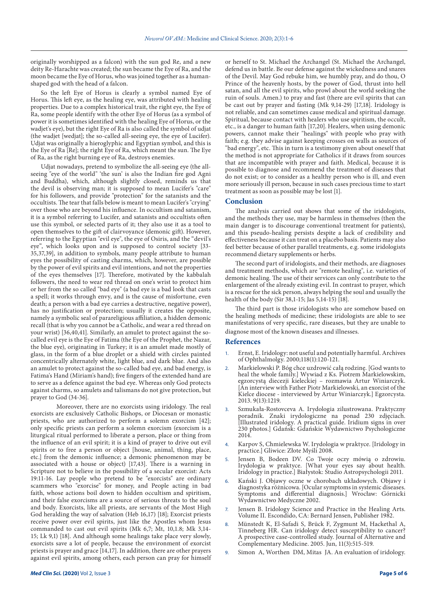originally worshipped as a falcon) with the sun god Re, and a new deity Re-Harachte was created; the sun became the Eye of Ra, and the moon became the Eye of Horus, who was joined together as a humanshaped god with the head of a falcon.

So the left Eye of Horus is clearly a symbol named Eye of Horus. This left eye, as the healing eye, was attributed with healing properties. Due to a complex historical trait, the right eye, the Eye of Ra, some people identify with the other Eye of Horus (as a symbol of power it is sometimes identified with the healing Eye of Horus, or the wadjet's eye), but the right Eye of Ra is also called the symbol of udjat (the wadjet [wedjat]; the so-called all-seeing eye, the eye of Lucifer). Udjat was originally a hieroglyphic and Egyptian symbol, and this is the Eye of Ra [Re]; the right Eye of Ra, which meant the sun. The Eye of Ra, as the right burning eye of Ra, destroys enemies.

Udjat nowadays, pretend to symbolize the all-seeing eye (the allseeing "eye of the world" 'the sun' is also the Indian fire god Agni and Buddha), which, although slightly closed, reminds us that the devil is observing man; it is supposed to mean Lucifer's "care" for his followers, and provide "protection" for the satanists and the occultists. The tear that falls below is meant to mean Lucifer's "crying" over those who are beyond his influence. In occultism and satanism, it is a symbol referring to Lucifer, and satanists and occultists often use this symbol, or selected parts of it; they also use it as a tool to open themselves to the gift of clairvoyance (demonic gift). However, referring to the Egyptian "evil eye", the eye of Osiris, and the "devil's eye", which looks upon and is supposed to control society [33- 35,37,39], in addition to symbols, many people attribute to human eyes the possibility of casting charms, which, however, are possible by the power of evil spirits and evil intentions, and not the properties of the eyes themselves [17]. Therefore, motivated by the kabbalah followers, the need to wear red thread on one's wrist to protect him or her from the so called "bad eye" (a bad eye is a bad look that casts a spell; it works through envy, and is the cause of misfortune, even death; a person with a bad eye carries a destructive, negative power), has no justification or protection; usually it creates the opposite, namely a symbolic seal of parareligious affiliation, a hidden demonic recall (that is why you cannot be a Catholic, and wear a red thread on your wrist) [36,40,41]. Similarly, an amulet to protect against the socalled evil eye is the Eye of Fatima (the Eye of the Prophet, the Nazar, the blue eye), originating in Turkey; it is an amulet made mostly of glass, in the form of a blue droplet or a shield with circles painted concentrically alternately white, light blue, and dark blue. And also an amulet to protect against the so-called bad eye, and bad energy, is Fatima's Hand (Miriam's hand); five fingers of the extended hand are to serve as a defence against the bad eye. Whereas only God protects against charms, so amulets and talismans do not give protection, but prayer to God (34-36].

Moreover, there are no exorcists using iridology. The real exorcists are exclusively Catholic Bishops, or Diocesan or monastic priests, who are authorized to perform a solemn exorcism [42]; only specific priests can perform a solemn exorcism (exorcism is a liturgical ritual performed to liberate a person, place or thing from the influence of an evil spirit; it is a kind of prayer to drive out evil spirits or to free a person or object [house, animal, thing, place, etc.] from the demonic influence; a demonic phenomenon may be associated with a house or object) [17,43]. There is a warning in Scripture not to believe in the possibility of a secular exorcist: Acts 19:11-16. Lay people who pretend to be "exorcists" are ordinary scammers who "exorcise" for money, and People acting in bad faith, whose actions boil down to hidden occultism and spiritism, and their false exorcisms are a source of serious threats to the soul and body. Exorcists, like all priests, are servants of the Most High God heralding the way of salvation (Heb 16,17) [18]; Exorcist priests receive power over evil spirits, just like the Apostles whom Jesus commanded to cast out evil spirits (Mk 6,7; Mt, 10,1.8; Mk 3,14- 15; Lk 9,1) [18]. And although some healings take place very slowly, exorcists save a lot of people, because the environment of exorcist priests is prayer and grace [14,17]. In addition, there are other prayers against evil spirits, among others, each person can pray for himself

or herself to St. Michael the Archangel (St. Michael the Archangel, defend us in battle. Be our defense against the wickedness and snares of the Devil. May God rebuke him, we humbly pray, and do thou, O Prince of the heavenly hosts, by the power of God, thrust into hell satan, and all the evil spirits, who prowl about the world seeking the ruin of souls. Amen.) to pray and fast (there are evil spirits that can be cast out by prayer and fasting (Mk 9,14-29) [17,18]. Iridology is not reliable, and can sometimes cause medical and spiritual damage. Spiritual, because contact with healers who use spiritism, the occult, etc., is a danger to human faith [17,20]. Healers, when using demonic powers, cannot make their "healings" with people who pray with faith; e.g. they advise against keeping crosses on walls as sources of "bad energy", etc. This in turn is a testimony given about oneself that the method is not appropriate for Catholics if it draws from sources that are incompatible with prayer and faith. Medical, because it is possible to diagnose and recommend the treatment of diseases that do not exist; or to consider as a healthy person who is ill, and even more seriously ill person, because in such cases precious time to start treatment as soon as possible may be lost [1].

#### **Conclusion**

The analysis carried out shows that some of the iridologists, and the methods they use, may be harmless in themselves (then the main danger is to discourage conventional treatment for patients), and this pseudo-healing persists despite a lack of credibility and effectiveness because it can treat on a placebo basis. Patients may also feel better because of other parallel treatments, e.g. some iridologists recommend dietary supplements or herbs.

The second part of iridologists, and their methods, are diagnoses and treatment methods, which are "remote healing", i.e. varieties of demonic healing. The use of their services can only contribute to the enlargement of the already existing evil. In contrast to prayer, which is a rescue for the sick person, always helping the soul and usually the health of the body (Sir 38,1-15; Jas 5,14-15) [18].

The third part is those iridologists who are somehow based on the healing methods of medicine; these iridologists are able to see manifestations of very specific, rare diseases, but they are unable to diagnose most of the known diseases and illnesses.

#### **References**

- Ernst, E. Iridology: not useful and potentially harmful. Archives of Ophthalmolgy. 2000;118(1):120-121.
- 2. Markielowski P. Bóg chce uzdrowić całą rodzinę. [God wants to heal the whole family.] Wywiad z Ks. Piotrem Markielowskim, egzorcystą diecezji kieleckiej – rozmawia Artur Winiarczyk. [An interview with Father Piotr Markielowski, an exorcist of the Kielce diocese - interviewed by Artur Winiarczyk.] Egzorcysta. 2013. 9(13):1219.
- 3. Szmukała-Rostovceva A. Irydologia zilustrowana. Praktyczny poradnik. Znaki irydologiczne na ponad 230 zdjęciach. [Illustrated iridology. A practical guide. Iridium signs in over 230 photos.] Gdańsk: Gdańskie Wydawnictwo Psychologiczne 2014.
- 4. Karpov S, Chmielewska W. Irydologia w praktyce. [Iridology in practice.] Gliwice: Złote Myśli 2008.
- 5. Jensen B, Bodeen DV. Co Twoje oczy mówią o zdrowiu. Irydologia w praktyce. [What your eyes say about health. Iridology in practice.] Białystok: Studio Astropsychologii 2011.
- 6. Kański J. Objawy oczne w chorobach układowych. Objawy i diagnostyka różnicowa. [Ocular symptoms in systemic diseases. Symptoms and differential diagnosis.] Wrocław: Górnicki Wydawnictwo Medyczne 2002.
- 7. Jensen B. Iridology Science and Practice in the Healing Arts. Volume II. Escondido, CA: Bernard Jensen, Publisher 1982.
- 8. Münstedt K, El-Safadi S, Brück F, Zygmunt M, Hackethal A, Tinneberg HR. Can iridology detect susceptibility to cancer? A prospective case-controlled study. Journal of Alternative and Complementary Medicine. 2005. Jun, 11(3):515-519.
- Simon A, Worthen DM, Mitas JA. An evaluation of iridology.